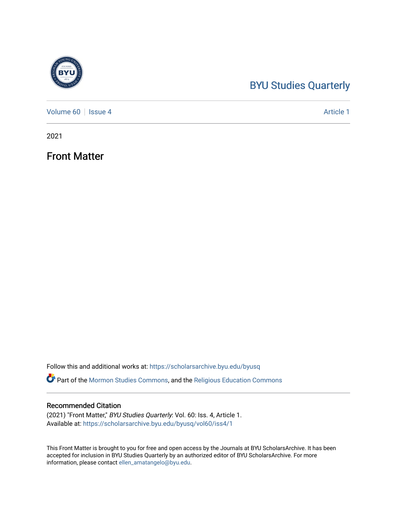# [BYU Studies Quarterly](https://scholarsarchive.byu.edu/byusq)

[Volume 60](https://scholarsarchive.byu.edu/byusq/vol60) | [Issue 4](https://scholarsarchive.byu.edu/byusq/vol60/iss4) Article 1

2021

Front Matter

Follow this and additional works at: [https://scholarsarchive.byu.edu/byusq](https://scholarsarchive.byu.edu/byusq?utm_source=scholarsarchive.byu.edu%2Fbyusq%2Fvol60%2Fiss4%2F1&utm_medium=PDF&utm_campaign=PDFCoverPages) 

Part of the [Mormon Studies Commons](http://network.bepress.com/hgg/discipline/1360?utm_source=scholarsarchive.byu.edu%2Fbyusq%2Fvol60%2Fiss4%2F1&utm_medium=PDF&utm_campaign=PDFCoverPages), and the [Religious Education Commons](http://network.bepress.com/hgg/discipline/1414?utm_source=scholarsarchive.byu.edu%2Fbyusq%2Fvol60%2Fiss4%2F1&utm_medium=PDF&utm_campaign=PDFCoverPages) 

# Recommended Citation

(2021) "Front Matter," BYU Studies Quarterly: Vol. 60: Iss. 4, Article 1. Available at: [https://scholarsarchive.byu.edu/byusq/vol60/iss4/1](https://scholarsarchive.byu.edu/byusq/vol60/iss4/1?utm_source=scholarsarchive.byu.edu%2Fbyusq%2Fvol60%2Fiss4%2F1&utm_medium=PDF&utm_campaign=PDFCoverPages)

This Front Matter is brought to you for free and open access by the Journals at BYU ScholarsArchive. It has been accepted for inclusion in BYU Studies Quarterly by an authorized editor of BYU ScholarsArchive. For more information, please contact [ellen\\_amatangelo@byu.edu.](mailto:ellen_amatangelo@byu.edu)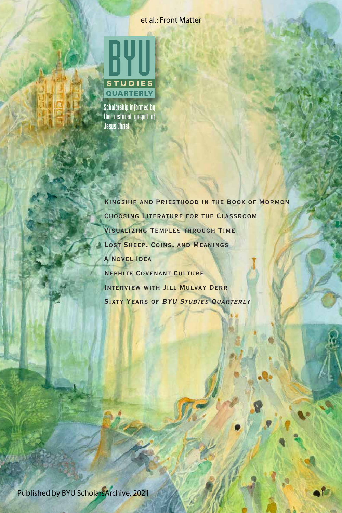## et al.: Front Matter



Scholarship informed by the restored gospel of Jesus Christ **TYBS** 

Kingship and Priesthood in the Book of Mormon Choosing Literature for the Classroom Visualizing Temples through Time LOST SHEEP, COINS, AND MEANINGS A Novel Idea Nephite Covenant Culture Interview with Jill Mulvay Derr SIXTY YEARS OF BYU STUDIES QUARTERLY

1

Published by BYU ScholarsArchive, 2021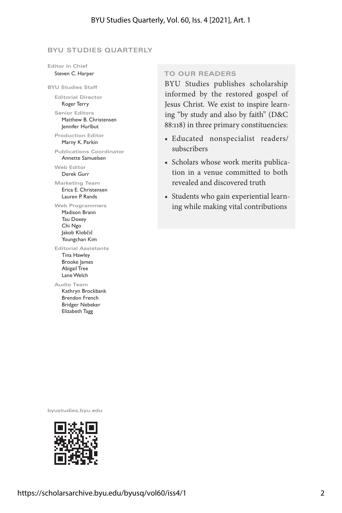#### **BYU STUDIES QUARTERLY**

**Editor in Chief** Steven C. Harper

**BYU Studies Staff**

**Editorial Director** Roger Terry

**Senior Editors**

 Matthew B. Christensen Jennifer Hurlbut

**Production Editor** Marny K. Parkin

**Publications Coordinator** Annette Samuelsen

**Web Editor** Derek Gurr

**Marketing Team** Erica E. Christensen Lauren P. Rands

**Web Programmers** Madison Brann Tau Doxey Chi Ngo Jakob Klobčič Youngchan Kim **Editorial Assistants**

 Tina Hawley Brooke James Abigail Tree Lane Welch

**Audio Team** Kathryn Brockbank Brendon French Bridger Nebeker Elizabeth Tagg

## **TO OUR READERS**

BYU Studies publishes scholarship informed by the restored gospel of Jesus Christ. We exist to inspire learning "by study and also by faith" (D&C 88:118) in three primary constituencies:

- Educated nonspecialist readers/ subscribers
- Scholars whose work merits publication in a venue committed to both revealed and discovered truth
- Students who gain experiential learning while making vital contributions

**byustudies.byu.edu**